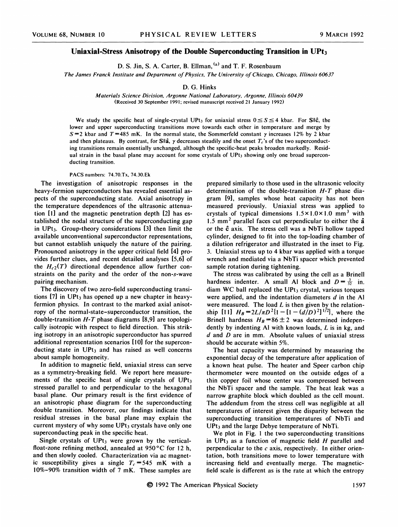## Uniaxial-Stress Anisotropy of the Double Superconducting Transition in UPt3

D. S. Jin, S. A. Carter, B. Ellman, <sup>(a)</sup> and T. F. Rosenbaur

The James Franck Institute and Department of Physics, The University of Chicago, Chicago, Illinois 60637

## D. G. Hinks

Materials Science Division, Argonne National Laboratory, Argonne, Illinois 60439 (Received 30 September 1991; revised manuscript received 21 January 1992)

We study the specific heat of single-crystal UPt<sub>3</sub> for uniaxial stress  $0 \leq S \leq 4$  kbar. For Sllc, the lower and upper superconducting transitions move towards each other in temperature and merge by  $S = 2$  kbar and T = 485 mK. In the normal state, the Sommerfeld constant  $\gamma$  increases 12% by 2 kbar and then plateaus. By contrast, for Slla,  $\gamma$  decreases steadily and the onset  $T_c$ 's of the two superconducting transitions remain essentially unchanged, although the specific-heat peaks broaden markedly. Residual strain in the basal plane may account for some crystals of  $UPt<sub>3</sub>$  showing only one broad superconducting transition.

## PACS numbers: 74.70.Tx, 74.30.Ek

The investigation of anisotropic responses in the heavy-fermion superconductors has revealed essential aspects of the superconducting state. Axial anisotropy in the temperature dependences of the ultrasonic attenuation [1] and the magnetic penetration depth [2] has established the nodal structure of the superconducting gap in UPt3. Group-theory considerations [3] then limit the available unconventional superconductor representations, but cannot establish uniquely the nature of the pairing. Pronounced anisotropy in the upper critical field [4] provides further clues, and recent detailed analyses [5,6] of the  $H_{c2}(T)$  directional dependence allow further constraints on the parity and the order of the non-s-wave pairing mechanism.

The discovery of two zero-field superconducting transitions  $[7]$  in UPt<sub>3</sub> has opened up a new chapter in heavyfermion physics. In contrast to the marked axial anisotropy of the normal-state-superconductor transition, the double-transition  $H - T$  phase diagrams [8,9] are topologically isotropic with respect to field direction. This striking isotropy in an anisotropic superconductor has spurred additional representation scenarios [10] for the superconducting state in UPt<sub>3</sub> and has raised as well concerns about sample homogeneity.

In addition to magnetic field, uniaxial stress can serve as a symmetry-breaking field. We report here measurements of the specific heat of single crystals of  $UPt_3$ stressed parallel to and perpendicular to the hexagonal basal plane. Our primary result is the first evidence of an anisotropic phase diagram for the superconducting double transition. Moreover, our findings indicate that residual stresses in the basal plane may explain the current mystery of why some  $UPt<sub>3</sub>$  crystals have only one superconducting peak in the specific heat.

Single crystals of  $UPt_3$  were grown by the verticalfloat-zone refining method, annealed at  $950^{\circ}$ C for 12 h, and then slowly cooled. Characterization via ac magnetic susceptibility gives a single  $T_c = 545$  mK with a 10%-90% transition width of 7 mK. These samples are prepared similarly to those used in the ultrasonic velocity determination of the double-transition H-T phase diagram [9], samples whose heat capacity has not been measured previously. Uniaxial stress was applied to crystals of typical dimensions  $1.5 \times 1.0 \times 1.0$  mm<sup>3</sup> with 1.5 mm<sup>2</sup> parallel faces cut perpendicular to either the  $\hat{a}$ or the  $\hat{c}$  axis. The stress cell was a NbTi hollow tapped cylinder, designed to fit into the top-loading chamber of a dilution refrigerator and illustrated in the inset to Fig. 3. Uniaxial stress up to 4 kbar was applied with a torque wrench and mediated via a NbTi spacer which prevented sample rotation during tightening.

The stress was calibrated by using the cell as a Brinell hardness indenter. A small Al block and  $D = \frac{3}{32}$  in. diam WC ball replaced the UPt<sub>3</sub> crystal, various torques were applied, and the indentation diameters  $d$  in the Al were measured. The load  $L$  is then given by the relationship [11]  $H_B = 2L/\pi D^2 \{1 - [1 - (d/D)^2]^{1/2}\}$ , where the Brinell hardness  $H_B = 86 \pm 2$  was determined independently by indenting Al with known loads, L is in kg, and d and D are in mm. Absolute values of uniaxial stress should be accurate within 5%.

The heat capacity was determined by measuring the exponential decay of the temperature after application of a known heat pulse. The heater and Speer carbon chip thermometer were mounted on the outside edges of a thin copper foil whose center was compressed between the NbTi spacer and the sample. The heat leak was a narrow graphite block which doubled as the cell mount. The addendum from the stress cell was negligible at all temperatures of interest given the disparity between the superconducting transition temperatures of NbTi and  $UPt<sub>3</sub>$  and the large Debye temperature of NbTi.

We plot in Fig. <sup>1</sup> the two superconducting transitions in UPt<sub>3</sub> as a function of magnetic field H parallel and perpendicular to the  $c$  axis, respectively. In either orientation, both transitions move to lower temperature with increasing field and eventually merge. The magneticfield scale is different as is the rate at which the entropy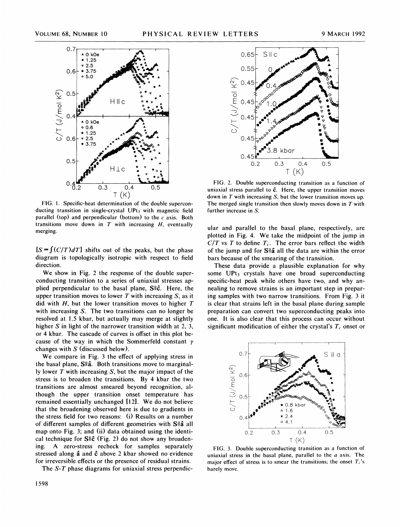

FIG. 1. Specific-heat determination of the double superconducting transition in single-crystal  $UPt<sub>3</sub>$  with magnetic field parallel (top) and perpendicular (bottom) to the  $c$  axis. Both transitions move down in  $T$  with increasing  $H$ , eventually merging.

 $[S = \int (C/T) dT]$  shifts out of the peaks, but the phase diagram is topologically isotropic with respect to field direction.

We show in Fig. 2 the response of the double superconducting transition to a series of uniaxial stresses applied perpendicular to the basal plane, Sllc. Here, the upper transition moves to lower  $T$  with increasing  $S$ , as it did with  $H$ , but the lower transition moves to higher  $T$ with increasing S. The two transitions can no longer be resolved at 1.5 kbar, but actually may merge at slightly higher S in light of the narrower transition width at 2, 3, or 4 kbar. The cascade of curves is offset in this plot because of the way in which the Sommerfeld constant  $\gamma$ changes with  $S$  (discussed below).

We compare in Fig. 3 the effect of applying stress in the basal plane, S<sub>ll</sub>a. Both transitions move to marginally lower  $T$  with increasing  $S$ , but the major impact of the stress is to broaden the transitions. By 4 kbar the two transitions are almost smeared beyond recognition, although the upper transition onset temperature has remained essentially unchanged [12]. We do not believe that the broadening observed here is due to gradients in the stress field for two reasons: (i) Results on a number of different samples of different geometries with Sllâ all map onto Fig. 3; and (ii) data obtained using the identical technique for  $\textsf{SII}\hat{\textsf{c}}$  (Fig. 2) do not show any broadening. A zero-stress recheck for samples separately stressed along  $\hat{a}$  and  $\hat{c}$  above 2 kbar showed no evidence for irreversible effects or the presence of residual strains.

The S-T phase diagrams for uniaxial stress perpendic-



FIG. 2. Double superconducting transition as a function of uniaxial stress parallel to  $\hat{c}$ . Here, the upper transition moves down in  $T$  with increasing  $S$ , but the lower transition moves up. The merged single transition then slowly moves down in  $T$  with further increase in S.

ular and parallel to the basal plane, respectively, are plotted in Fig. 4. We take the midpoint of the jump in  $C/T$  vs T to define  $T_c$ . The error bars reflect the width of the jump and for Slla all the data are within the error bars because of the smearing of the transition.

These data provide a plausible explanation for why some  $UPt<sub>3</sub>$  crystals have one broad superconducting specific-heat peak while others have two, and why annealing to remove strains is an important step in preparing samples with two narrow transitions. From Fig. 3 it is clear that strains left in the basal plane during sample preparation can convert two superconducting peaks into one. It is also clear that this process can occur without significant modification of either the crystal's  $T_c$  onset or



FIG. 3. Double superconducting transition as a function of uniaxial stress in the basal plane, parallel to the  $a$  axis. The major effect of stress is to smear the transitions; the onset  $T_c$ 's barely move.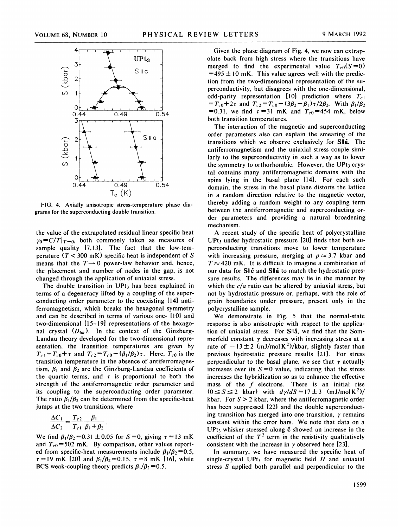

FIG. 4. Axially anisotropic stress-temperature phase diagrams for the superconducting double transition.

the value of the extrapolated residual linear specific heat  $\gamma_0 = C/T|_{T=0}$ , both commonly taken as measures of sample quality [7,13]. The fact that the low-temperature ( $T < 300$  mK) specific heat is independent of S means that the  $T \rightarrow 0$  power-law behavior and, hence, the placement and number of nodes in the gap, is not changed through the application of uniaxial stress.

The double transition in  $UPt<sub>3</sub>$  has been explained in terms of a degeneracy lifted by a coupling of the superconducting order parameter to the coexisting [14] antiferromagnetism, which breaks the hexagonal symmetry and can be described in terms of various one- [10] and two-dimensional  $[15-19]$  representations of the hexagonal crystal  $(D_{6h})$ . In the context of the Ginzburg-Landau theory developed for the two-dimensional representation, the transition temperatures are given by  $T_{c1} = T_{c0} + \tau$  and  $T_{c2} = T_{c0} - (\beta_1/\beta_2)\tau$ . Here,  $T_{c0}$  is the transition temperature in the absence of antiferromagnetism,  $\beta_1$  and  $\beta_2$  are the Ginzburg-Landau coefficients of the quartic terms, and  $\tau$  is proportional to both the strength of the antiferromagnetic order parameter and its coupling to the superconducting order parameter. The ratio  $\beta_1/\beta_2$  can be determined from the specific-heat jumps at the two transitions, where

$$
\frac{\Delta C_1}{\Delta C_2} = \frac{T_{c2}}{T_{c1}} \frac{\beta_1}{\beta_1 + \beta_2}
$$

We find  $\beta_1/\beta_2 = 0.31 \pm 0.05$  for  $S = 0$ , giving  $\tau = 13$  mK and  $T_{c0}$ =502 mK. By comparison, other values reported from specific-heat measurements include  $\beta_1/\beta_2=0.5$ ,  $\tau = 19$  mK [20] and  $\beta_1/\beta_2 = 0.15$ ,  $\tau = 8$  mK [16], while BCS weak-coupling theory predicts  $\beta_1/\beta_2 = 0.5$ .

Given the phase diagram of Fig. 4, we now can extrapolate back from high stress where the transitions have merged to find the experimental value  $T_{c0}(S=0)$  $=495 \pm 10$  mK. This value agrees well with the prediction from the two-dimensional representation of the superconductivity, but disagrees with the one-dimensional, odd-parity representation [10] prediction where  $T_{c1}$  $=T_{c0}+2\tau$  and  $T_{c2}=T_{c0}-(3\beta_2-\beta_1)\tau/2\beta_2$ . With  $\beta_1/\beta_2$ =0.31, we find  $\tau = 31$  mK and  $T_{c0} = 454$  mK, below both transition temperatures.

The interaction of the magnetic and superconducting order parameters also can explain the smearing of the transitions which we observe exclusively for Sllâ. The antiferromagnetism and the uniaxial stress couple similarly to the superconductivity in such a way as to lower the symmetry to orthorhombic. However, the  $UPt<sub>3</sub>$  crystal contains many antiferromagnetic domains with the spins lying in the basal plane [14]. For each such domain, the stress in the basal plane distorts the lattice in a random direction relative to the magnetic vector, thereby adding a random weight to any coupling term between the antiferromagnetic and superconducting order parameters and providing a natural broadening mechanism.

A recent study of the specific heat of polycrystalline  $UPt<sub>3</sub>$  under hydrostatic pressure [20] finds that both superconducting transitions move to lower temperature with increasing pressure, merging at  $p \approx 3.7$  kbar and  $T \approx 420$  mK. It is difficult to imagine a combination of our data for SIIc and SIIa to match the hydrostatic pressure results. The differences may lie in the manner by which the  $c/a$  ratio can be altered by uniaxial stress, but not by hydrostatic pressure or, perhaps, with the role of grain boundaries under pressure, present only in the polycrystalline sample.

We demonstrate in Fig. 5 that the normal-state response is also anisotropic with respect to the application of uniaxial stress. For Slla, we find that the Sommerfeld constant  $\gamma$  decreases with increasing stress at a rate of  $-13\pm2$  (mJ/molK<sup>2</sup>)/kbar, slightly faster than previous hydrostatic pressure results [21]. For stress perpendicular to the basal plane, we see that  $\gamma$  actually increases over its  $S=0$  value, indicating that the stress increases the hybridization so as to enhance the effective mass of the  $f$  electrons. There is an initial rise  $(0 \le S \le 2$  kbar) with  $d\gamma/dS = 17 \pm 3$  (mJ/mol K<sup>2</sup>)/ kbar. For  $S > 2$  kbar, where the antiferromagnetic order has been suppressed [22] and the double superconducting transition has merged into one transition,  $\gamma$  remains constant within the error bars. We note that data on a UPt<sub>3</sub> whisker stressed along  $\hat{c}$  showed an increase in the coefficient of the  $T<sup>2</sup>$  term in the resistivity qualitatively consistent with the increase in  $\gamma$  observed here [23].

In summary, we have measured the specific heat of single-crystal UPt<sub>3</sub> for magnetic field  $H$  and uniaxial stress S applied both parallel and perpendicular to the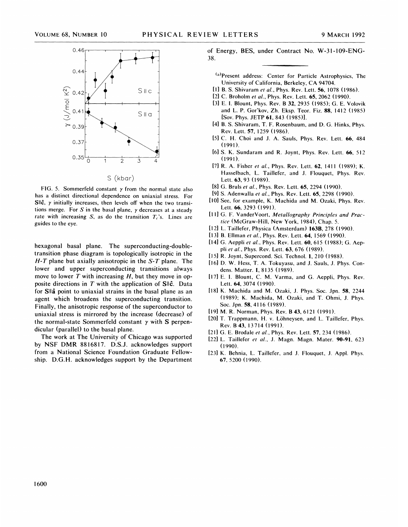

FIG. 5. Sommerfeld constant  $\gamma$  from the normal state also has a distinct directional dependence on uniaxial stress. For SII $\hat{\mathsf{c}}$ ,  $\gamma$  initially increases, then levels off when the two transitions merge. For  $S$  in the basal plane,  $\gamma$  decreases at a steady rate with increasing S, as do the transition  $T_c$ 's. Lines are guides to the eye.

hexagonal basal plane. The superconducting-doubletransition phase diagram is topologically isotropic in the  $H - T$  plane but axially anisotropic in the S-T plane. The lower and upper superconducting transitions always move to lower  $T$  with increasing  $H$ , but they move in opposite directions in  $T$  with the application of  $SI \hat{c}$ . Data for S<sub>II</sub> a point to uniaxial strains in the basal plane as an agent which broadens the superconducting transition. Finally, the anisotropic response of the superconductor to uniaxial stress is mirrored by the increase (decrease) of the normal-state Sommerfeld constant  $\gamma$  with S perpendicular (parallel) to the basal plane.

The work at The University of Chicago was supported by NSF DMR 8816817. D.S.J. acknowledges support from a National Science Foundation Graduate Fellowship. D.G.H. acknowledges support by the Department

0.46 of Energy, BES, under Contract No. W-31-109-ENG-38.

- (a) Present address: Center for Particle Astrophysics, The University of California, Berkeley, CA 94704.
- [1] B. S. Shivaram et al., Phys. Rev. Lett. 56, 1078 (1986).
- [2] C. Broholm et al., Phys. Rev. Lett. 65, 2062 (1990).
- [3l E. I. Blount, Phys. Rev. B 32, 2935 (1985); G. E. Volovik and L. P. Gor'kov, Zh. Eksp. Teor. Fiz. 88, 1412 (1985) [Sov. Phys. JETP 61, 843 (1985)l.
- [4] B. S. Shivaram, T. F. Rosenbaum, and D. G. Hinks, Phys. Rev. Lett. 57, 1259 (1986).
- [5] C. H. Choi and J. A. Sauls, Phys. Rev. Lett. 66, 484 (1991).
- [6] S. K. Sundaram and R. Joynt, Phys. Rev. Lett. 66, 512 (1991).
- [7] R. A. Fisher et al., Phys. Rev. Lett. 62, 1411 (1989); K. Hasselbach, L. Taillefer, and J. Flouquet, Phys. Rev. Lett. 63, 93 (1989).
- [8] G. Bruls et al., Phys. Rev. Lett. 65, 2294 (1990).
- [9] S. Adenwalla et al., Phys. Rev. Lett. 65, 2298 (1990).
- [10] See, for example, K. Machida and M. Ozaki, Phys. Rev. Lett. 66, 3293 (1991).
- [11] G. F. VanderVoort, Metallography Principles and Practice (McGraw-Hill, New York, 1984), Chap. 5.
- [12] L. Taillefer, Physica (Amsterdam) 163B, 278 (1990).
- [13] B. Ellman et al., Phys. Rev. Lett. 64, 1569 (1990).
- [14] G. Aeppli et al., Phys. Rev. Lett. 60, 615 (1988); G. Aeppli et al., Phys. Rev. Lett. 63, 676 (1989).
- [15] R. Joynt, Supercond. Sci. Technol. 1, 210 (1988).
- [16] D. W. Hess, T. A. Tokuyasu, and J. Sauls, J. Phys. Condens. Matter. 1, 8135 (1989).
- [17] E. I. Blount, C. M. Varma, and G. Aeppli, Phys. Rev. Lett. 64, 3074 (1990).
- [18] K. Machida and M. Ozaki, J. Phys. Soc. Jpn. 58, 2244 (1989); K. Machida, M. Ozaki, and T. Ohmi, J. Phys. Soc. Jpn. 58, 4116 (1989).
- [19] M. R. Norman, Phys. Rev. B 43, 6121 (1991).
- [20] T. Trappmann, H. v. Löhneysen, and L. Taillefer, Phys. Rev. B 43, 13714 (1991).
- [21] G. E. Brodale et al., Phys. Rev. Lett. 57, 234 (1986).
- [22] L. Taillefer et al., J. Magn. Magn. Mater. 90-91, 623 (1990).
- [23] K. Behnia, L. Taillefer, and J. Flouquet, J. Appl. Phys. 67, 5200 (1990).